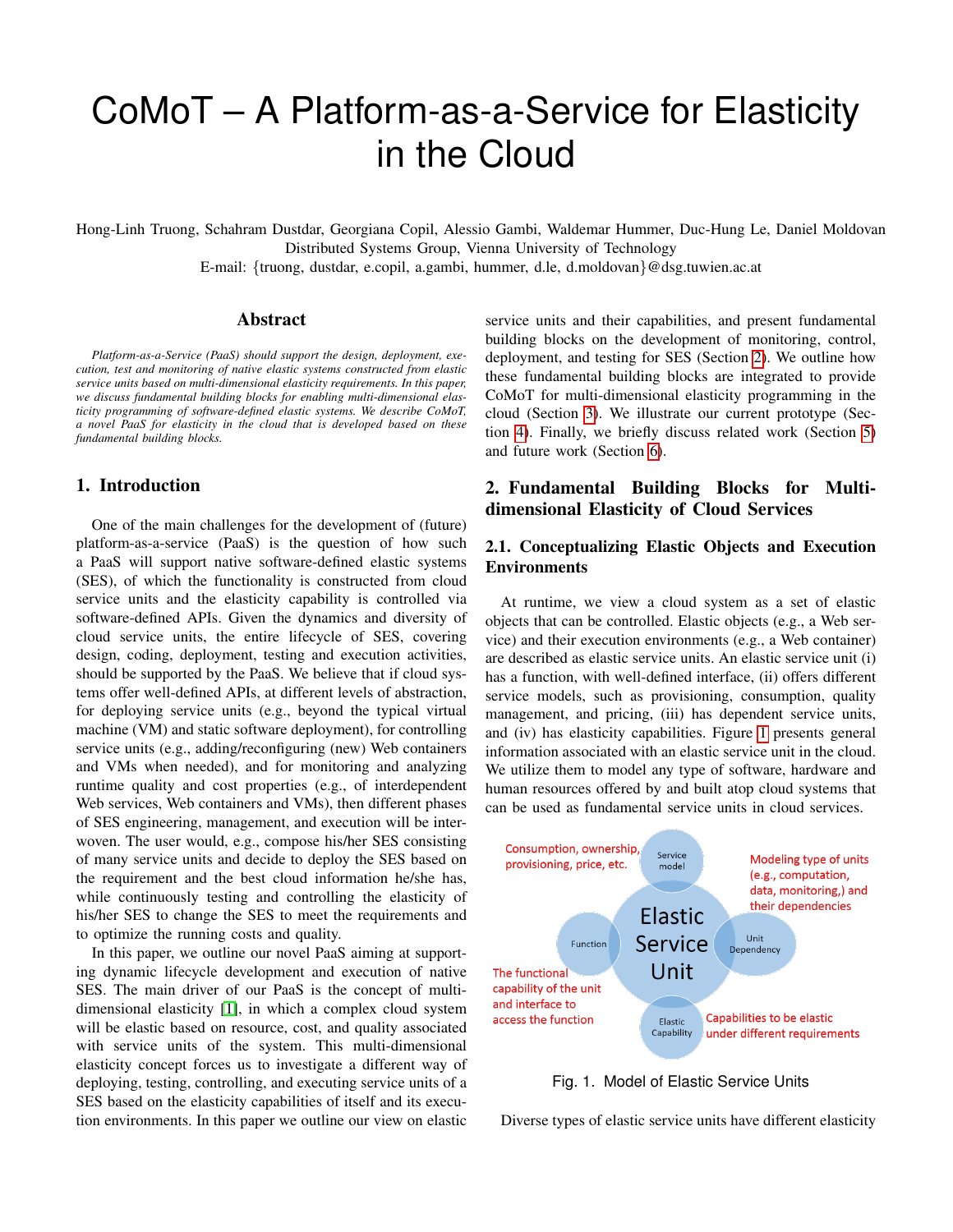# CoMoT – A Platform-as-a-Service for Elasticity in the Cloud

Hong-Linh Truong, Schahram Dustdar, Georgiana Copil, Alessio Gambi, Waldemar Hummer, Duc-Hung Le, Daniel Moldovan Distributed Systems Group, Vienna University of Technology

E-mail: {truong, dustdar, e.copil, a.gambi, hummer, d.le, d.moldovan}@dsg.tuwien.ac.at

#### Abstract

*Platform-as-a-Service (PaaS) should support the design, deployment, execution, test and monitoring of native elastic systems constructed from elastic service units based on multi-dimensional elasticity requirements. In this paper, we discuss fundamental building blocks for enabling multi-dimensional elasticity programming of software-defined elastic systems. We describe CoMoT, a novel PaaS for elasticity in the cloud that is developed based on these fundamental building blocks.*

## 1. Introduction

One of the main challenges for the development of (future) platform-as-a-service (PaaS) is the question of how such a PaaS will support native software-defined elastic systems (SES), of which the functionality is constructed from cloud service units and the elasticity capability is controlled via software-defined APIs. Given the dynamics and diversity of cloud service units, the entire lifecycle of SES, covering design, coding, deployment, testing and execution activities, should be supported by the PaaS. We believe that if cloud systems offer well-defined APIs, at different levels of abstraction, for deploying service units (e.g., beyond the typical virtual machine (VM) and static software deployment), for controlling service units (e.g., adding/reconfiguring (new) Web containers and VMs when needed), and for monitoring and analyzing runtime quality and cost properties (e.g., of interdependent Web services, Web containers and VMs), then different phases of SES engineering, management, and execution will be interwoven. The user would, e.g., compose his/her SES consisting of many service units and decide to deploy the SES based on the requirement and the best cloud information he/she has, while continuously testing and controlling the elasticity of his/her SES to change the SES to meet the requirements and to optimize the running costs and quality.

In this paper, we outline our novel PaaS aiming at supporting dynamic lifecycle development and execution of native SES. The main driver of our PaaS is the concept of multidimensional elasticity [\[1\]](#page-3-0), in which a complex cloud system will be elastic based on resource, cost, and quality associated with service units of the system. This multi-dimensional elasticity concept forces us to investigate a different way of deploying, testing, controlling, and executing service units of a SES based on the elasticity capabilities of itself and its execution environments. In this paper we outline our view on elastic

service units and their capabilities, and present fundamental building blocks on the development of monitoring, control, deployment, and testing for SES (Section [2\)](#page-0-0). We outline how these fundamental building blocks are integrated to provide CoMoT for multi-dimensional elasticity programming in the cloud (Section [3\)](#page-2-0). We illustrate our current prototype (Section [4\)](#page-2-1). Finally, we briefly discuss related work (Section [5\)](#page-3-1) and future work (Section [6\)](#page-3-2).

## <span id="page-0-0"></span>2. Fundamental Building Blocks for Multidimensional Elasticity of Cloud Services

## 2.1. Conceptualizing Elastic Objects and Execution Environments

At runtime, we view a cloud system as a set of elastic objects that can be controlled. Elastic objects (e.g., a Web service) and their execution environments (e.g., a Web container) are described as elastic service units. An elastic service unit (i) has a function, with well-defined interface, (ii) offers different service models, such as provisioning, consumption, quality management, and pricing, (iii) has dependent service units, and (iv) has elasticity capabilities. Figure [1](#page-0-1) presents general information associated with an elastic service unit in the cloud. We utilize them to model any type of software, hardware and human resources offered by and built atop cloud systems that can be used as fundamental service units in cloud services.



<span id="page-0-1"></span>Fig. 1. Model of Elastic Service Units

Diverse types of elastic service units have different elasticity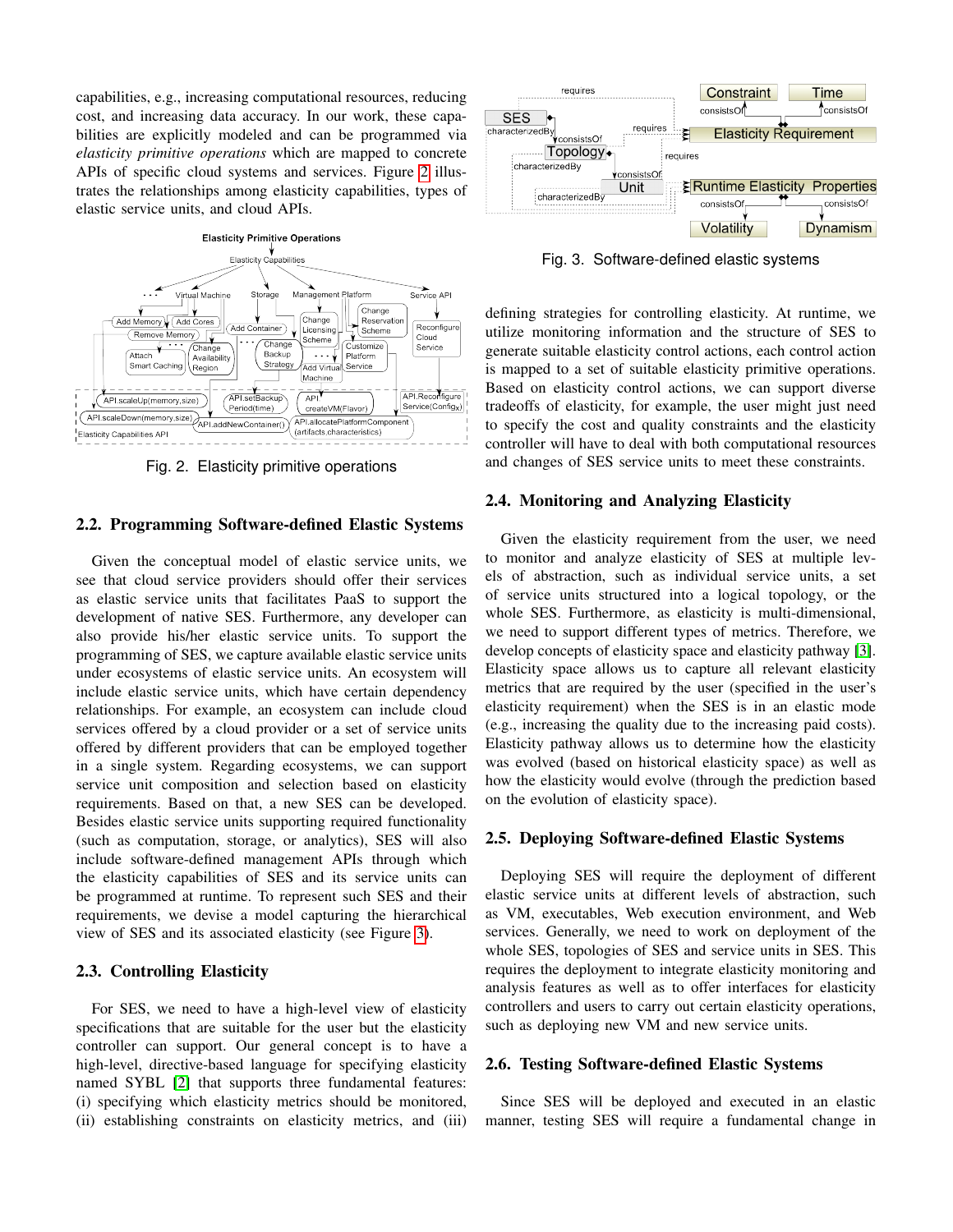capabilities, e.g., increasing computational resources, reducing cost, and increasing data accuracy. In our work, these capabilities are explicitly modeled and can be programmed via *elasticity primitive operations* which are mapped to concrete APIs of specific cloud systems and services. Figure [2](#page-1-0) illustrates the relationships among elasticity capabilities, types of elastic service units, and cloud APIs.



<span id="page-1-0"></span>Fig. 2. Elasticity primitive operations

#### 2.2. Programming Software-defined Elastic Systems

Given the conceptual model of elastic service units, we see that cloud service providers should offer their services as elastic service units that facilitates PaaS to support the development of native SES. Furthermore, any developer can also provide his/her elastic service units. To support the programming of SES, we capture available elastic service units under ecosystems of elastic service units. An ecosystem will include elastic service units, which have certain dependency relationships. For example, an ecosystem can include cloud services offered by a cloud provider or a set of service units offered by different providers that can be employed together in a single system. Regarding ecosystems, we can support service unit composition and selection based on elasticity requirements. Based on that, a new SES can be developed. Besides elastic service units supporting required functionality (such as computation, storage, or analytics), SES will also include software-defined management APIs through which the elasticity capabilities of SES and its service units can be programmed at runtime. To represent such SES and their requirements, we devise a model capturing the hierarchical view of SES and its associated elasticity (see Figure [3\)](#page-1-1).

#### 2.3. Controlling Elasticity

For SES, we need to have a high-level view of elasticity specifications that are suitable for the user but the elasticity controller can support. Our general concept is to have a high-level, directive-based language for specifying elasticity named SYBL [\[2\]](#page-3-3) that supports three fundamental features: (i) specifying which elasticity metrics should be monitored, (ii) establishing constraints on elasticity metrics, and (iii)



<span id="page-1-1"></span>Fig. 3. Software-defined elastic systems

defining strategies for controlling elasticity. At runtime, we utilize monitoring information and the structure of SES to generate suitable elasticity control actions, each control action is mapped to a set of suitable elasticity primitive operations. Based on elasticity control actions, we can support diverse tradeoffs of elasticity, for example, the user might just need to specify the cost and quality constraints and the elasticity controller will have to deal with both computational resources and changes of SES service units to meet these constraints.

#### 2.4. Monitoring and Analyzing Elasticity

Given the elasticity requirement from the user, we need to monitor and analyze elasticity of SES at multiple levels of abstraction, such as individual service units, a set of service units structured into a logical topology, or the whole SES. Furthermore, as elasticity is multi-dimensional, we need to support different types of metrics. Therefore, we develop concepts of elasticity space and elasticity pathway [\[3\]](#page-3-4). Elasticity space allows us to capture all relevant elasticity metrics that are required by the user (specified in the user's elasticity requirement) when the SES is in an elastic mode (e.g., increasing the quality due to the increasing paid costs). Elasticity pathway allows us to determine how the elasticity was evolved (based on historical elasticity space) as well as how the elasticity would evolve (through the prediction based on the evolution of elasticity space).

#### 2.5. Deploying Software-defined Elastic Systems

Deploying SES will require the deployment of different elastic service units at different levels of abstraction, such as VM, executables, Web execution environment, and Web services. Generally, we need to work on deployment of the whole SES, topologies of SES and service units in SES. This requires the deployment to integrate elasticity monitoring and analysis features as well as to offer interfaces for elasticity controllers and users to carry out certain elasticity operations, such as deploying new VM and new service units.

#### 2.6. Testing Software-defined Elastic Systems

Since SES will be deployed and executed in an elastic manner, testing SES will require a fundamental change in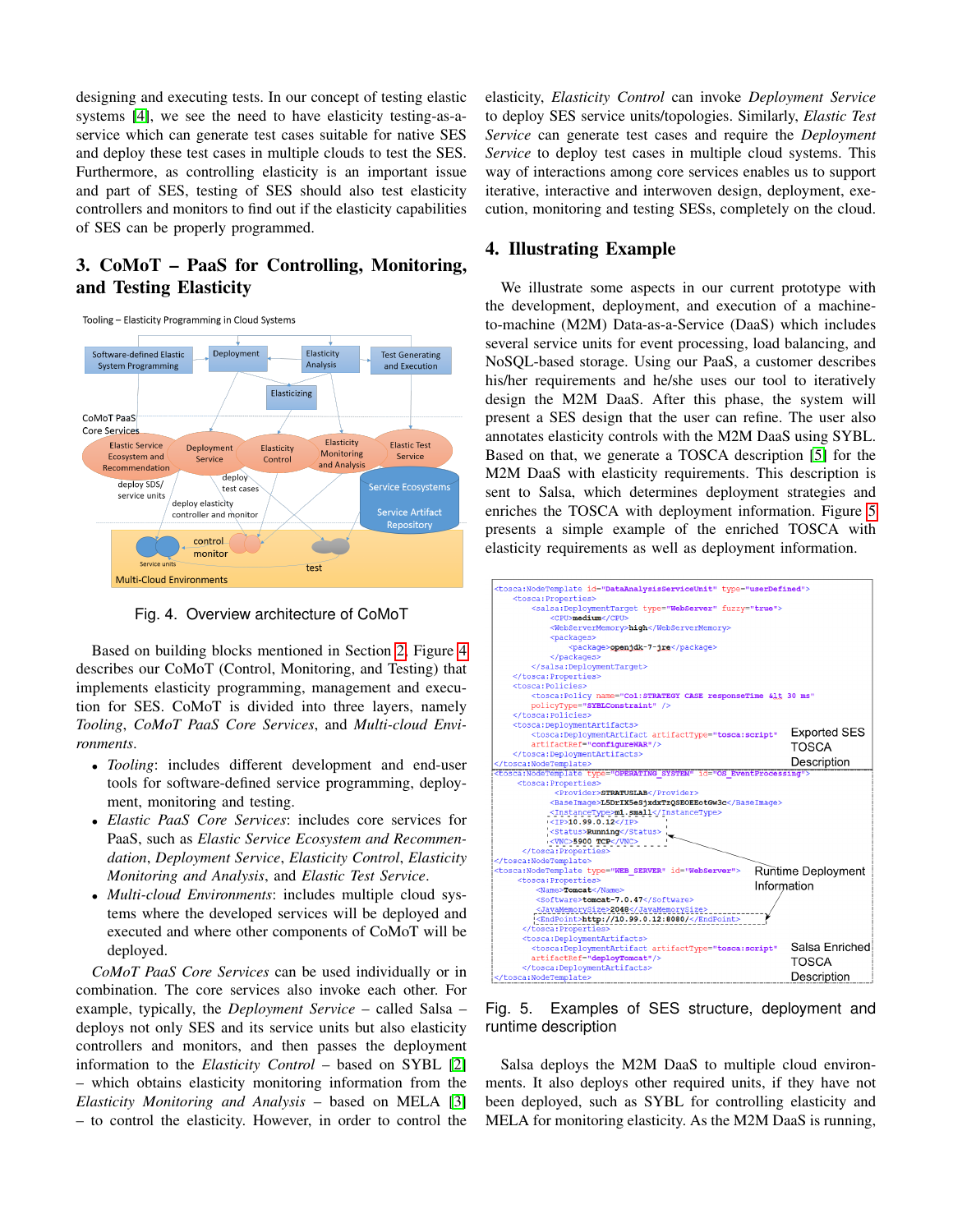designing and executing tests. In our concept of testing elastic systems [\[4\]](#page-3-5), we see the need to have elasticity testing-as-aservice which can generate test cases suitable for native SES and deploy these test cases in multiple clouds to test the SES. Furthermore, as controlling elasticity is an important issue and part of SES, testing of SES should also test elasticity controllers and monitors to find out if the elasticity capabilities of SES can be properly programmed.

# <span id="page-2-0"></span>3. CoMoT – PaaS for Controlling, Monitoring, and Testing Elasticity

Tooling - Elasticity Programming in Cloud Systems



<span id="page-2-2"></span>Fig. 4. Overview architecture of CoMoT

Based on building blocks mentioned in Section [2,](#page-0-0) Figure [4](#page-2-2) describes our CoMoT (Control, Monitoring, and Testing) that implements elasticity programming, management and execution for SES. CoMoT is divided into three layers, namely *Tooling*, *CoMoT PaaS Core Services*, and *Multi-cloud Environments*.

- *Tooling*: includes different development and end-user tools for software-defined service programming, deployment, monitoring and testing.
- *Elastic PaaS Core Services*: includes core services for PaaS, such as *Elastic Service Ecosystem and Recommendation*, *Deployment Service*, *Elasticity Control*, *Elasticity Monitoring and Analysis*, and *Elastic Test Service*.
- *Multi-cloud Environments*: includes multiple cloud systems where the developed services will be deployed and executed and where other components of CoMoT will be deployed.

*CoMoT PaaS Core Services* can be used individually or in combination. The core services also invoke each other. For example, typically, the *Deployment Service* – called Salsa – deploys not only SES and its service units but also elasticity controllers and monitors, and then passes the deployment information to the *Elasticity Control* – based on SYBL [\[2\]](#page-3-3) – which obtains elasticity monitoring information from the *Elasticity Monitoring and Analysis* – based on MELA [\[3\]](#page-3-4) – to control the elasticity. However, in order to control the elasticity, *Elasticity Control* can invoke *Deployment Service* to deploy SES service units/topologies. Similarly, *Elastic Test Service* can generate test cases and require the *Deployment Service* to deploy test cases in multiple cloud systems. This way of interactions among core services enables us to support iterative, interactive and interwoven design, deployment, execution, monitoring and testing SESs, completely on the cloud.

## <span id="page-2-1"></span>4. Illustrating Example

We illustrate some aspects in our current prototype with the development, deployment, and execution of a machineto-machine (M2M) Data-as-a-Service (DaaS) which includes several service units for event processing, load balancing, and NoSQL-based storage. Using our PaaS, a customer describes his/her requirements and he/she uses our tool to iteratively design the M2M DaaS. After this phase, the system will present a SES design that the user can refine. The user also annotates elasticity controls with the M2M DaaS using SYBL. Based on that, we generate a TOSCA description [\[5\]](#page-3-6) for the M2M DaaS with elasticity requirements. This description is sent to Salsa, which determines deployment strategies and enriches the TOSCA with deployment information. Figure [5](#page-2-3) presents a simple example of the enriched TOSCA with elasticity requirements as well as deployment information.



<span id="page-2-3"></span>Fig. 5. Examples of SES structure, deployment and runtime description

Salsa deploys the M2M DaaS to multiple cloud environments. It also deploys other required units, if they have not been deployed, such as SYBL for controlling elasticity and MELA for monitoring elasticity. As the M2M DaaS is running,